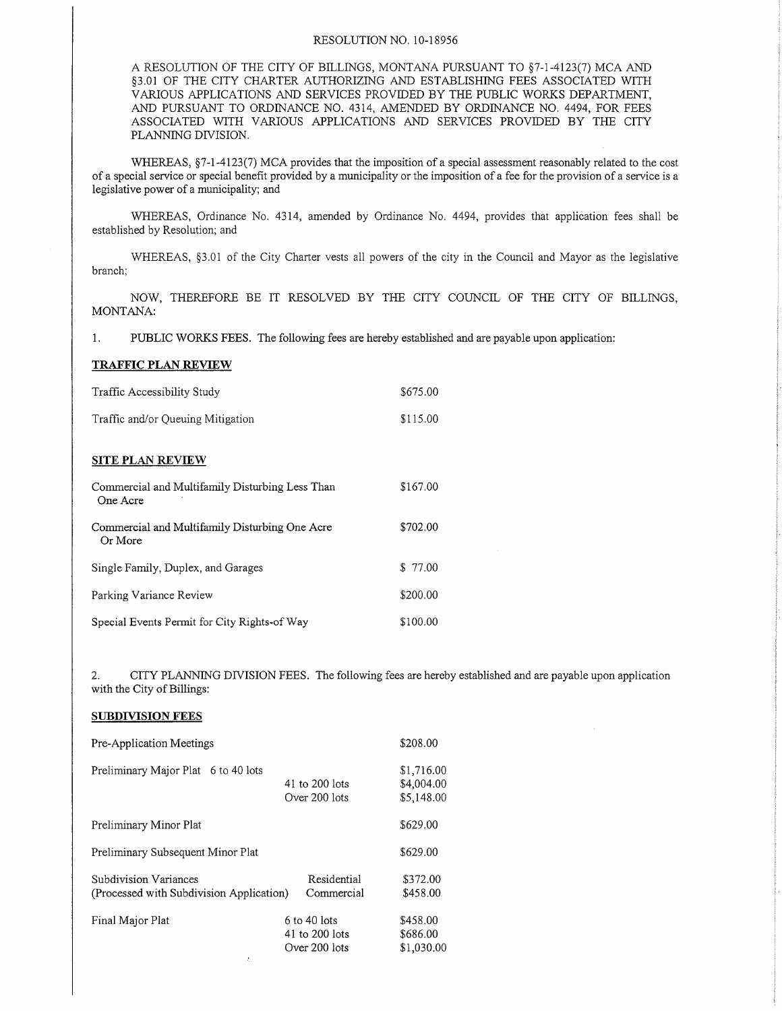## RESOLUTiON NO. 10-1 8956

A RESOLUTION OF THE CITY OF BILLINGS, MONTANA PURSUANT TO §7-1-4123(7) MCA AND \$3.01 OF THE CITY CHARTER AUTHORIZING AND ESTABLISHING FEES ASSOCIATED WITH VARIOUS APPLICATIONS AND SERVICES PROVIDED BY THE PUBLIC WORKS DEPARTMENT, AND PURSUANT TO ORDINANCE NO. 4314, AMENDED BY ORDINANCE NO. 4494, FOR FEES ASSOCTATED WITH VARIOUS APPLICATIONS AND SERVICES PROVIDED BY THE CITY PLANNING DIVISION.

WHEREAS, §7-1-4123(7) MCA provides that the imposition of a special assessment reasonably related to the cost of a special service or special benefit provided by a municipality or the imposition of a fee for the provision of a service is a legislative power of a municipality; and

WHEREAS, Ordinance No. 4314, amended by Ordinance No. 4494, provides that application fees shall be established by Resolution; and

WHEREAS, §3.01 of the City Charter vests all powers of the city in the Council and Mayor as the legislative branch;

NOW, THEREFORE BE IT RESOLVED BY THE CITY COUNCIL OF THE CITY OF BILLINGS. MONTANA:

1. PUBLIC WORKS FEES. The foilowing fees are hereby established and are payable upon application:

## TRAFFIC PLAN REVIEW

| Traffic Accessibility Study                                 | \$675.00 |
|-------------------------------------------------------------|----------|
| Traffic and/or Oueuing Mitigation                           | \$115.00 |
| <b>SITE PLAN REVIEW</b>                                     |          |
| Commercial and Multifamily Disturbing Less Than<br>One Acre | \$167.00 |
| Commercial and Multifamily Disturbing One Acre<br>Or More   | \$702.00 |
| Single Family, Duplex, and Garages                          | \$77.00  |
| Parking Variance Review                                     | \$200.00 |
| Special Events Permit for City Rights-of Way                | \$100.00 |

2. CITY PLANNING DIVISION FEES. The following fees are hereby established and are payable upon application with the City of Billings:

## SUBDIVISION FEES

| Pre-Application Meetings                                          |                                                   | \$208.00                               |
|-------------------------------------------------------------------|---------------------------------------------------|----------------------------------------|
| Preliminary Major Plat 6 to 40 lots                               | 41 to 200 lots<br>Over 200 lots                   | \$1,716.00<br>\$4,004.00<br>\$5,148.00 |
| Preliminary Minor Plat                                            |                                                   | \$629.00                               |
| Preliminary Subsequent Minor Plat                                 |                                                   | \$629.00                               |
| Subdivision Variances<br>(Processed with Subdivision Application) | Residential<br>Commercial                         | \$372.00<br>\$458.00                   |
| Final Major Plat                                                  | $6$ to 40 lots<br>41 to 200 lots<br>Over 200 lots | \$458.00<br>\$686.00<br>\$1,030.00     |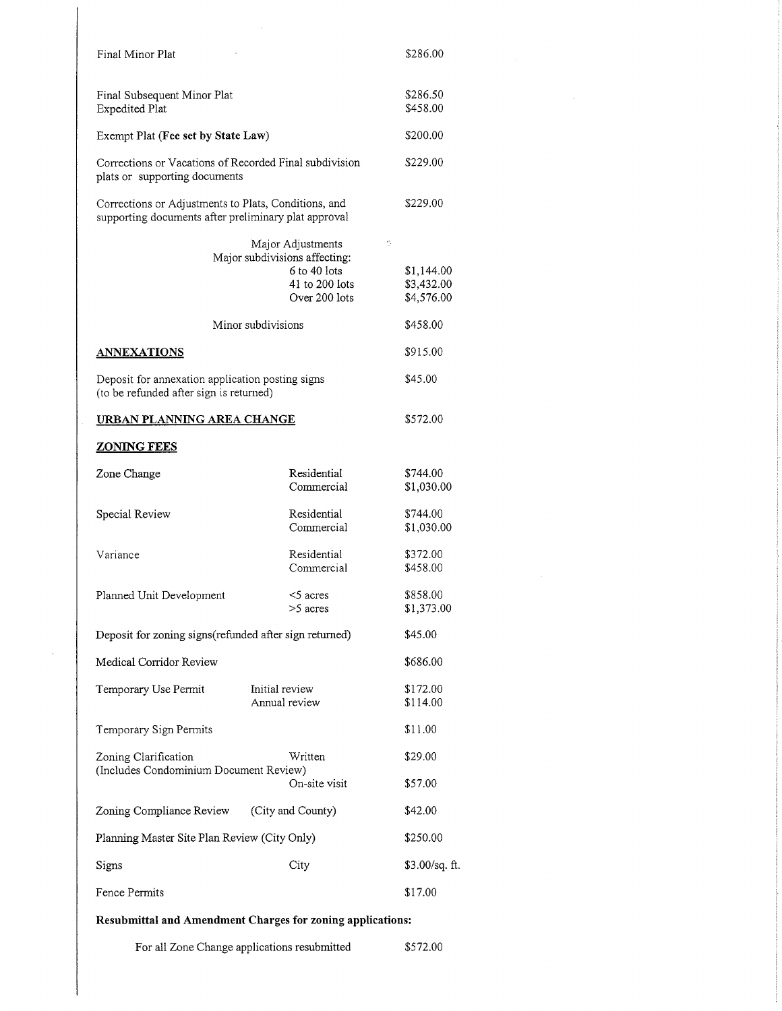| Final Minor Plat                                                                                             |                                                                                                                             | \$286.00                                                 |
|--------------------------------------------------------------------------------------------------------------|-----------------------------------------------------------------------------------------------------------------------------|----------------------------------------------------------|
| Final Subsequent Minor Plat<br><b>Expedited Plat</b>                                                         |                                                                                                                             | \$286.50<br>\$458.00                                     |
| Exempt Plat (Fee set by State Law)                                                                           |                                                                                                                             | \$200.00                                                 |
| Corrections or Vacations of Recorded Final subdivision<br>plats or supporting documents                      |                                                                                                                             | \$229.00                                                 |
| Corrections or Adjustments to Plats, Conditions, and<br>supporting documents after preliminary plat approval |                                                                                                                             | \$229.00                                                 |
|                                                                                                              | Major Adjustments<br>Major subdivisions affecting:<br>6 to 40 lots<br>41 to 200 lots<br>Over 200 lots<br>Minor subdivisions | ÷,<br>\$1,144.00<br>\$3,432.00<br>\$4,576.00<br>\$458.00 |
| <u>ANNEXATIONS</u>                                                                                           |                                                                                                                             | \$915.00                                                 |
| Deposit for annexation application posting signs<br>(to be refunded after sign is returned)                  |                                                                                                                             | \$45.00                                                  |
| URBAN PLANNING AREA CHANGE                                                                                   |                                                                                                                             | \$572.00                                                 |
| <b>ZONING FEES</b>                                                                                           |                                                                                                                             |                                                          |
| Zone Change                                                                                                  | Residential<br>Commercial                                                                                                   | \$744.00<br>\$1,030.00                                   |
| Special Review                                                                                               | Residential<br>Commercial                                                                                                   | \$744.00<br>\$1,030.00                                   |
| Variance                                                                                                     | Residential<br>Commercial                                                                                                   | \$372.00<br>\$458.00                                     |
| Planned Unit Development                                                                                     | $<$ 5 acres<br>>5 acres                                                                                                     | \$858.00<br>\$1,373.00                                   |
| Deposit for zoning signs(refunded after sign returned)                                                       |                                                                                                                             | \$45.00                                                  |
| Medical Corridor Review                                                                                      |                                                                                                                             | \$686.00                                                 |
| Temporary Use Permit                                                                                         | Initial review<br>Annual review                                                                                             | \$172.00<br>\$114.00                                     |
| Temporary Sign Permits                                                                                       |                                                                                                                             | \$11.00                                                  |
| Zoning Clarification<br>(Includes Condominium Document Review)                                               | Written<br>On-site visit                                                                                                    | \$29.00<br>\$57.00                                       |
| Zoning Compliance Review                                                                                     | (City and County)                                                                                                           | \$42.00                                                  |
| Planning Master Site Plan Review (City Only)                                                                 |                                                                                                                             | \$250.00                                                 |
| Signs                                                                                                        | City                                                                                                                        | \$3.00/sq. ft.                                           |
| Fence Permits                                                                                                |                                                                                                                             | \$17.00                                                  |

 $\hat{\boldsymbol{\beta}}$ 

 $\sim$ 

## Resubmittal and Amendment Charges for zoning applications:

l,

For all Zone Change applications resubmitted \$572.00